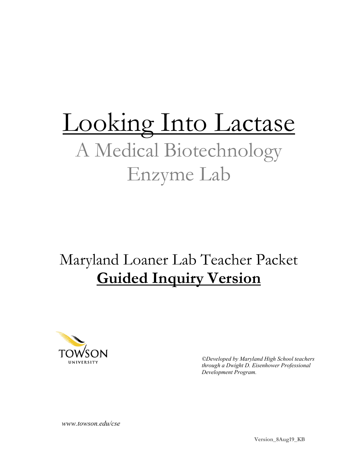# Looking Into Lactase A Medical Biotechnology Enzyme Lab

# Maryland Loaner Lab Teacher Packet **Guided Inquiry Version**



*©Developed by Maryland High School teachers through a Dwight D. Eisenhower Professional Development Program.*

 *www.towson.edu/cse*

**Version\_8Aug19\_KB**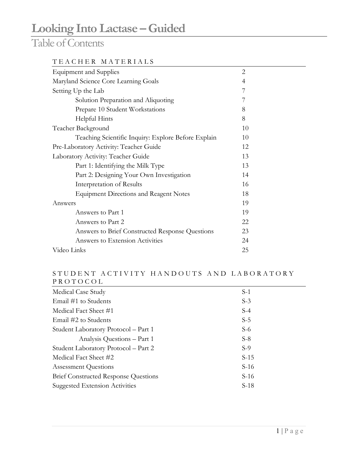### Table of Contents

#### TEACHER MATERIALS

| <b>Equipment and Supplies</b>                       |    |  |
|-----------------------------------------------------|----|--|
| Maryland Science Core Learning Goals                | 4  |  |
| Setting Up the Lab                                  | 7  |  |
| Solution Preparation and Aliquoting                 | 7  |  |
| Prepare 10 Student Workstations                     | 8  |  |
| Helpful Hints                                       | 8  |  |
| Teacher Background                                  | 10 |  |
| Teaching Scientific Inquiry: Explore Before Explain | 10 |  |
| Pre-Laboratory Activity: Teacher Guide              | 12 |  |
| Laboratory Activity: Teacher Guide                  |    |  |
| Part 1: Identifying the Milk Type                   | 13 |  |
| Part 2: Designing Your Own Investigation            | 14 |  |
| Interpretation of Results                           | 16 |  |
| <b>Equipment Directions and Reagent Notes</b>       | 18 |  |
| Answers                                             | 19 |  |
| Answers to Part 1                                   | 19 |  |
| Answers to Part 2                                   | 22 |  |
| Answers to Brief Constructed Response Questions     | 23 |  |
| Answers to Extension Activities                     | 24 |  |
| Video Links                                         | 25 |  |

#### STUDENT ACTIVITY HAN DOUTS AND LABORATORY PROTOCOL

| Medical Case Study                          | $S-1$  |
|---------------------------------------------|--------|
| Email #1 to Students                        | $S-3$  |
| Medical Fact Sheet #1                       | $S-4$  |
| Email #2 to Students                        | $S-5$  |
| Student Laboratory Protocol - Part 1        | $S-6$  |
| Analysis Questions - Part 1                 | $S-8$  |
| Student Laboratory Protocol - Part 2        | $S-9$  |
| Medical Fact Sheet #2                       | $S-15$ |
| <b>Assessment Questions</b>                 | $S-16$ |
| <b>Brief Constructed Response Questions</b> | $S-16$ |
| <b>Suggested Extension Activities</b>       | $S-18$ |
|                                             |        |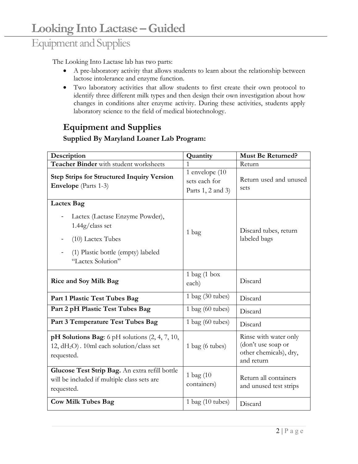### Equipment and Supplies

The Looking Into Lactase lab has two parts:

- A pre-laboratory activity that allows students to learn about the relationship between lactose intolerance and enzyme function.
- Two laboratory activities that allow students to first create their own protocol to identify three different milk types and then design their own investigation about how changes in conditions alter enzyme activity. During these activities, students apply laboratory science to the field of medical biotechnology.

### **Equipment and Supplies**

#### **Supplied By Maryland Loaner Lab Program:**

| Description                                                                                                          | Quantity                                             | <b>Must Be Returned?</b>                                                            |
|----------------------------------------------------------------------------------------------------------------------|------------------------------------------------------|-------------------------------------------------------------------------------------|
| Teacher Binder with student worksheets                                                                               |                                                      | Return                                                                              |
| <b>Step Strips for Structured Inquiry Version</b><br><b>Envelope</b> (Parts 1-3)                                     | 1 envelope (10<br>sets each for<br>Parts 1, 2 and 3) | Return used and unused<br>sets                                                      |
| <b>Lactex Bag</b>                                                                                                    |                                                      |                                                                                     |
| Lactex (Lactase Enzyme Powder),<br>$1.44g$ /class set<br>(10) Lactex Tubes<br>(1) Plastic bottle (empty) labeled     | 1 bag                                                | Discard tubes, return<br>labeled bags                                               |
| "Lactex Solution"                                                                                                    |                                                      |                                                                                     |
| <b>Rice and Soy Milk Bag</b>                                                                                         | $1$ bag $(1$ box<br>each)                            | Discard                                                                             |
| Part 1 Plastic Test Tubes Bag                                                                                        | $1$ bag (30 tubes)                                   | Discard                                                                             |
| Part 2 pH Plastic Test Tubes Bag                                                                                     | $1$ bag (60 tubes)                                   | Discard                                                                             |
| Part 3 Temperature Test Tubes Bag                                                                                    | $1$ bag (60 tubes)                                   | Discard                                                                             |
| pH Solutions Bag: 6 pH solutions (2, 4, 7, 10,<br>12, dH <sub>2</sub> O). 10ml each solution/class set<br>requested. | $1$ bag (6 tubes)                                    | Rinse with water only<br>(don't use soap or<br>other chemicals), dry,<br>and return |
| Glucose Test Strip Bag. An extra refill bottle<br>will be included if multiple class sets are<br>requested.          | 1 bag (10<br>containers)                             | Return all containers<br>and unused test strips                                     |
| <b>Cow Milk Tubes Bag</b>                                                                                            | $1$ bag $(10$ tubes)                                 | Discard                                                                             |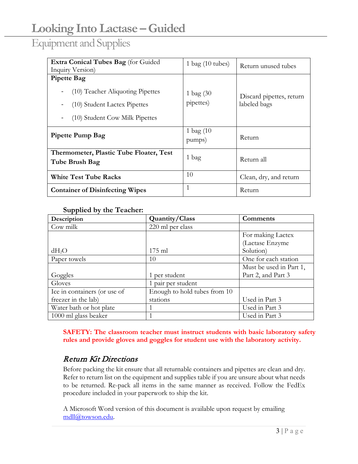### Equipment and Supplies

| <b>Extra Conical Tubes Bag</b> (for Guided<br>Inquiry Version)                                                           | 1 bag $(10 \text{ tubes})$  | Return unused tubes                      |  |
|--------------------------------------------------------------------------------------------------------------------------|-----------------------------|------------------------------------------|--|
| <b>Pipette Bag</b><br>(10) Teacher Aliquoting Pipettes<br>(10) Student Lactex Pipettes<br>(10) Student Cow Milk Pipettes | $1$ bag $(30)$<br>pipettes) | Discard pipettes, return<br>labeled bags |  |
| Pipette Pump Bag                                                                                                         | 1 bag $(10)$<br>pumps)      | Return                                   |  |
| Thermometer, Plastic Tube Floater, Test<br>Tube Brush Bag                                                                | 1 bag                       | Return all                               |  |
| <b>White Test Tube Racks</b>                                                                                             | 10                          | Clean, dry, and return                   |  |
| <b>Container of Disinfecting Wipes</b>                                                                                   | $\mathbf{1}$                | Return                                   |  |

#### **Supplied by the Teacher:**

| Description                  | Quantity/Class               | Comments                |
|------------------------------|------------------------------|-------------------------|
| Cow milk                     | 220 ml per class             |                         |
|                              |                              | For making Lactex       |
|                              |                              | (Lactase Enzyme         |
| $dH_2O$                      | $175 \text{ ml}$             | Solution)               |
| Paper towels                 | 10                           | One for each station    |
|                              |                              | Must be used in Part 1, |
| Goggles                      | 1 per student                | Part 2, and Part 3      |
| Gloves                       | 1 pair per student           |                         |
| Ice in containers (or use of | Enough to hold tubes from 10 |                         |
| freezer in the lab)          | stations                     | Used in Part 3          |
| Water bath or hot plate      |                              | Used in Part 3          |
| 1000 ml glass beaker         |                              | Used in Part 3          |

**SAFETY: The classroom teacher must instruct students with basic laboratory safety rules and provide gloves and goggles for student use with the laboratory activity.**

#### Return Kit Directions

Before packing the kit ensure that all returnable containers and pipettes are clean and dry. Refer to return list on the equipment and supplies table if you are unsure about what needs to be returned. Re-pack all items in the same manner as received. Follow the FedEx procedure included in your paperwork to ship the kit.

A Microsoft Word version of this document is available upon request by emailing [mdll@towson.edu.](mailto:mdll@towson.edu)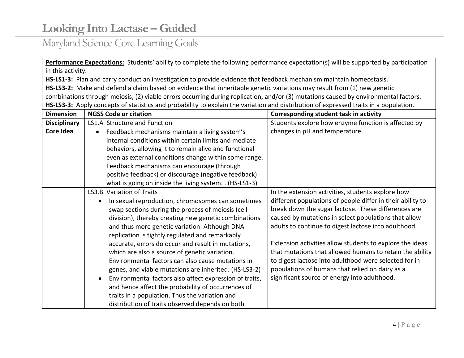### Maryland Science Core Learning Goals

**Performance Expectations:** Students' ability to complete the following performance expectation(s) will be supported by participation in this activity.

**HS-LS1-3:** Plan and carry conduct an investigation to provide evidence that feedback mechanism maintain homeostasis.

**HS-LS3-2:** Make and defend a claim based on evidence that inheritable genetic variations may result from (1) new genetic combinations through meiosis, (2) viable errors occurring during replication, and/or (3) mutations caused by environmental factors. **HS-LS3-3:** Apply concepts of statistics and probability to explain the variation and distribution of expressed traits in a population.

| <b>Dimension</b>                                | <b>NGSS Code or citation</b>                                | Corresponding student task in activity                     |
|-------------------------------------------------|-------------------------------------------------------------|------------------------------------------------------------|
| <b>Disciplinary</b>                             | LS1.A Structure and Function                                | Students explore how enzyme function is affected by        |
| Core Idea                                       | Feedback mechanisms maintain a living system's<br>$\bullet$ | changes in pH and temperature.                             |
|                                                 | internal conditions within certain limits and mediate       |                                                            |
|                                                 | behaviors, allowing it to remain alive and functional       |                                                            |
|                                                 | even as external conditions change within some range.       |                                                            |
|                                                 | Feedback mechanisms can encourage (through                  |                                                            |
|                                                 | positive feedback) or discourage (negative feedback)        |                                                            |
|                                                 | what is going on inside the living system. . (HS-LS1-3)     |                                                            |
|                                                 | LS3.B Variation of Traits                                   | In the extension activities, students explore how          |
|                                                 | In sexual reproduction, chromosomes can sometimes           | different populations of people differ in their ability to |
|                                                 | swap sections during the process of meiosis (cell           | break down the sugar lactose. These differences are        |
|                                                 | division), thereby creating new genetic combinations        | caused by mutations in select populations that allow       |
|                                                 | and thus more genetic variation. Although DNA               | adults to continue to digest lactose into adulthood.       |
| replication is tightly regulated and remarkably |                                                             |                                                            |
|                                                 | accurate, errors do occur and result in mutations,          | Extension activities allow students to explore the ideas   |
|                                                 | which are also a source of genetic variation.               | that mutations that allowed humans to retain the ability   |
|                                                 | Environmental factors can also cause mutations in           | to digest lactose into adulthood were selected for in      |
|                                                 | genes, and viable mutations are inherited. (HS-LS3-2)       | populations of humans that relied on dairy as a            |
|                                                 | Environmental factors also affect expression of traits,     | significant source of energy into adulthood.               |
|                                                 | and hence affect the probability of occurrences of          |                                                            |
|                                                 | traits in a population. Thus the variation and              |                                                            |
|                                                 | distribution of traits observed depends on both             |                                                            |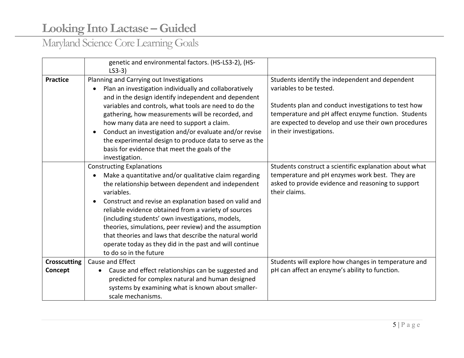# Maryland Science Core Learning Goals

|                     | genetic and environmental factors. (HS-LS3-2), (HS-                                                                                                                                                                                                                                                                                                                                                                                                                                                                                                        |                                                                                                                                                                                                                                                                               |
|---------------------|------------------------------------------------------------------------------------------------------------------------------------------------------------------------------------------------------------------------------------------------------------------------------------------------------------------------------------------------------------------------------------------------------------------------------------------------------------------------------------------------------------------------------------------------------------|-------------------------------------------------------------------------------------------------------------------------------------------------------------------------------------------------------------------------------------------------------------------------------|
| <b>Practice</b>     | $LS3-3)$<br>Planning and Carrying out Investigations<br>Plan an investigation individually and collaboratively<br>and in the design identify independent and dependent<br>variables and controls, what tools are need to do the<br>gathering, how measurements will be recorded, and<br>how many data are need to support a claim.<br>Conduct an investigation and/or evaluate and/or revise<br>the experimental design to produce data to serve as the<br>basis for evidence that meet the goals of the<br>investigation.                                 | Students identify the independent and dependent<br>variables to be tested.<br>Students plan and conduct investigations to test how<br>temperature and pH affect enzyme function. Students<br>are expected to develop and use their own procedures<br>in their investigations. |
|                     | <b>Constructing Explanations</b><br>Make a quantitative and/or qualitative claim regarding<br>the relationship between dependent and independent<br>variables.<br>Construct and revise an explanation based on valid and<br>$\bullet$<br>reliable evidence obtained from a variety of sources<br>(including students' own investigations, models,<br>theories, simulations, peer review) and the assumption<br>that theories and laws that describe the natural world<br>operate today as they did in the past and will continue<br>to do so in the future | Students construct a scientific explanation about what<br>temperature and pH enzymes work best. They are<br>asked to provide evidence and reasoning to support<br>their claims.                                                                                               |
| <b>Crosscutting</b> | Cause and Effect                                                                                                                                                                                                                                                                                                                                                                                                                                                                                                                                           | Students will explore how changes in temperature and                                                                                                                                                                                                                          |
| Concept             | Cause and effect relationships can be suggested and<br>$\bullet$<br>predicted for complex natural and human designed<br>systems by examining what is known about smaller-<br>scale mechanisms.                                                                                                                                                                                                                                                                                                                                                             | pH can affect an enzyme's ability to function.                                                                                                                                                                                                                                |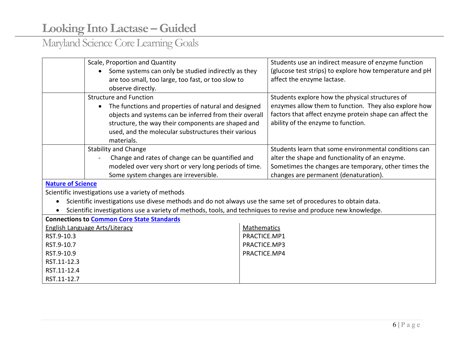# Maryland Science Core Learning Goals

|                                                                                                                | Scale, Proportion and Quantity                                                                                |              | Students use an indirect measure of enzyme function     |  |
|----------------------------------------------------------------------------------------------------------------|---------------------------------------------------------------------------------------------------------------|--------------|---------------------------------------------------------|--|
|                                                                                                                | Some systems can only be studied indirectly as they                                                           |              | (glucose test strips) to explore how temperature and pH |  |
|                                                                                                                | are too small, too large, too fast, or too slow to                                                            |              | affect the enzyme lactase.                              |  |
|                                                                                                                | observe directly.                                                                                             |              |                                                         |  |
|                                                                                                                | <b>Structure and Function</b>                                                                                 |              | Students explore how the physical structures of         |  |
|                                                                                                                | The functions and properties of natural and designed<br>$\bullet$                                             |              | enzymes allow them to function. They also explore how   |  |
|                                                                                                                | objects and systems can be inferred from their overall                                                        |              | factors that affect enzyme protein shape can affect the |  |
|                                                                                                                | structure, the way their components are shaped and                                                            |              | ability of the enzyme to function.                      |  |
|                                                                                                                | used, and the molecular substructures their various                                                           |              |                                                         |  |
|                                                                                                                | materials.                                                                                                    |              |                                                         |  |
|                                                                                                                | <b>Stability and Change</b>                                                                                   |              | Students learn that some environmental conditions can   |  |
|                                                                                                                | Change and rates of change can be quantified and                                                              |              | alter the shape and functionality of an enzyme.         |  |
|                                                                                                                | modeled over very short or very long periods of time.                                                         |              | Sometimes the changes are temporary, other times the    |  |
|                                                                                                                | Some system changes are irreversible.                                                                         |              | changes are permanent (denaturation).                   |  |
| <b>Nature of Science</b>                                                                                       |                                                                                                               |              |                                                         |  |
|                                                                                                                | Scientific investigations use a variety of methods                                                            |              |                                                         |  |
|                                                                                                                | Scientific investigations use divese methods and do not always use the same set of procedures to obtain data. |              |                                                         |  |
| Scientific investigations use a variety of methods, tools, and techniques to revise and produce new knowledge. |                                                                                                               |              |                                                         |  |
| <b>Connections to Common Core State Standards</b>                                                              |                                                                                                               |              |                                                         |  |
| <b>English Language Arts/Literacy</b>                                                                          |                                                                                                               | Mathematics  |                                                         |  |
| RST.9-10.3                                                                                                     |                                                                                                               | PRACTICE.MP1 |                                                         |  |
| RST.9-10.7                                                                                                     |                                                                                                               | PRACTICE.MP3 |                                                         |  |
| RST.9-10.9                                                                                                     |                                                                                                               | PRACTICE.MP4 |                                                         |  |
| RST.11-12.3                                                                                                    |                                                                                                               |              |                                                         |  |
| RST.11-12.4                                                                                                    |                                                                                                               |              |                                                         |  |
| RST.11-12.7                                                                                                    |                                                                                                               |              |                                                         |  |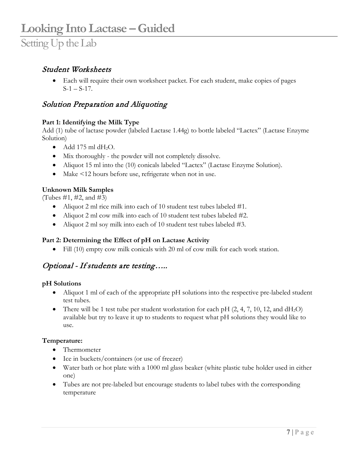• Each will require their own worksheet packet. For each student, make copies of pages  $S-1 - S-17$ .

#### Solution Preparation and Aliquoting

#### **Part 1: Identifying the Milk Type**

Add (1) tube of lactase powder (labeled Lactase 1.44g) to bottle labeled "Lactex" (Lactase Enzyme Solution)

- Add 175 ml  $dH_2O$ .
- Mix thoroughly the powder will not completely dissolve.
- Aliquot 15 ml into the (10) conicals labeled "Lactex" (Lactase Enzyme Solution).
- Make <12 hours before use, refrigerate when not in use.

#### **Unknown Milk Samples**

(Tubes  $\#1, \#2, \text{ and } \#3$ )

- Aliquot 2 ml rice milk into each of 10 student test tubes labeled #1.
- Aliquot 2 ml cow milk into each of 10 student test tubes labeled #2.
- Aliquot 2 ml soy milk into each of 10 student test tubes labeled #3.

#### **Part 2: Determining the Effect of pH on Lactase Activity**

• Fill (10) empty cow milk conicals with 20 ml of cow milk for each work station.

#### Optional - If students are testing…..

#### **pH Solutions**

- Aliquot 1 ml of each of the appropriate pH solutions into the respective pre-labeled student test tubes.
- There will be 1 test tube per student workstation for each pH  $(2, 4, 7, 10, 12, \text{ and } dH_2O)$ available but try to leave it up to students to request what pH solutions they would like to use.

#### **Temperature:**

- Thermometer
- Ice in buckets/containers (or use of freezer)
- Water bath or hot plate with a 1000 ml glass beaker (white plastic tube holder used in either one)
- Tubes are not pre-labeled but encourage students to label tubes with the corresponding temperature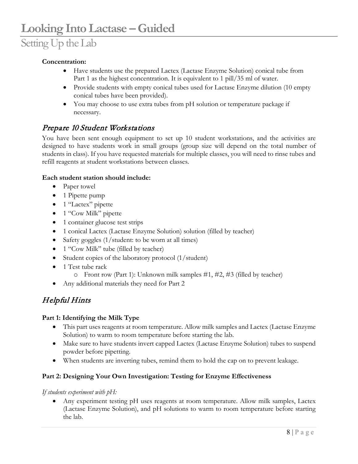### Setting Up the Lab

#### **Concentration:**

- Have students use the prepared Lactex (Lactase Enzyme Solution) conical tube from Part 1 as the highest concentration. It is equivalent to 1 pill/35 ml of water.
- Provide students with empty conical tubes used for Lactase Enzyme dilution (10 empty conical tubes have been provided).
- You may choose to use extra tubes from pH solution or temperature package if necessary.

#### Prepare 10 Student Workstations

You have been sent enough equipment to set up 10 student workstations, and the activities are designed to have students work in small groups (group size will depend on the total number of students in class). If you have requested materials for multiple classes, you will need to rinse tubes and refill reagents at student workstations between classes.

#### **Each student station should include:**

- Paper towel
- 1 Pipette pump
- 1 "Lactex" pipette
- 1 "Cow Milk" pipette
- 1 container glucose test strips
- 1 conical Lactex (Lactase Enzyme Solution) solution (filled by teacher)
- Safety goggles (1/student: to be worn at all times)
- 1 "Cow Milk" tube (filled by teacher)
- Student copies of the laboratory protocol (1/student)
- 1 Test tube rack
	- o Front row (Part 1): Unknown milk samples #1, #2, #3 (filled by teacher)
- Any additional materials they need for Part 2

#### Helpful Hints

#### **Part 1: Identifying the Milk Type**

- This part uses reagents at room temperature. Allow milk samples and Lactex (Lactase Enzyme Solution) to warm to room temperature before starting the lab.
- Make sure to have students invert capped Lactex (Lactase Enzyme Solution) tubes to suspend powder before pipetting.
- When students are inverting tubes, remind them to hold the cap on to prevent leakage.

#### **Part 2: Designing Your Own Investigation: Testing for Enzyme Effectiveness**

#### *If students experiment with pH:*

• Any experiment testing pH uses reagents at room temperature. Allow milk samples, Lactex (Lactase Enzyme Solution), and pH solutions to warm to room temperature before starting the lab.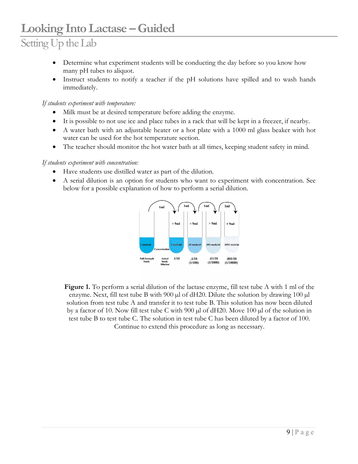# Setting Up the Lab

- Determine what experiment students will be conducting the day before so you know how many pH tubes to aliquot.
- Instruct students to notify a teacher if the pH solutions have spilled and to wash hands immediately.

*If students experiment with temperature:*

- Milk must be at desired temperature before adding the enzyme.
- It is possible to not use ice and place tubes in a rack that will be kept in a freezer, if nearby.
- A water bath with an adjustable heater or a hot plate with a 1000 ml glass beaker with hot water can be used for the hot temperature section.
- The teacher should monitor the hot water bath at all times, keeping student safety in mind.

#### *If students experiment with concentration:*

- Have students use distilled water as part of the dilution.
- A serial dilution is an option for students who want to experiment with concentration. See below for a possible explanation of how to perform a serial dilution.



**Figure 1.** To perform a serial dilution of the lactase enzyme, fill test tube A with 1 ml of the enzyme. Next, fill test tube B with  $900 \mu$  of dH20. Dilute the solution by drawing  $100 \mu$ solution from test tube A and transfer it to test tube B. This solution has now been diluted by a factor of 10. Now fill test tube C with 900 µl of dH20. Move 100 µl of the solution in test tube B to test tube C. The solution in test tube C has been diluted by a factor of 100. Continue to extend this procedure as long as necessary.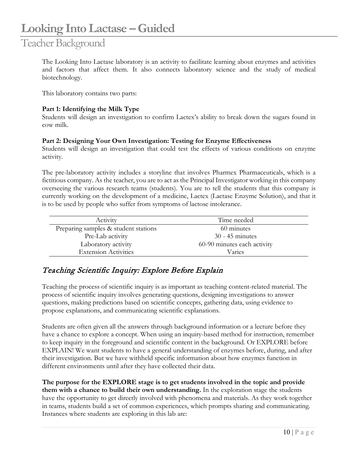### Teacher Background

The Looking Into Lactase laboratory is an activity to facilitate learning about enzymes and activities and factors that affect them. It also connects laboratory science and the study of medical biotechnology.

This laboratory contains two parts:

#### **Part 1: Identifying the Milk Type**

Students will design an investigation to confirm Lactex's ability to break down the sugars found in cow milk.

#### **Part 2: Designing Your Own Investigation: Testing for Enzyme Effectiveness**

Students will design an investigation that could test the effects of various conditions on enzyme activity.

The pre-laboratory activity includes a storyline that involves Pharmex Pharmaceuticals, which is a fictitious company. As the teacher, you are to act as the Principal Investigator working in this company overseeing the various research teams (students). You are to tell the students that this company is currently working on the development of a medicine, Lactex (Lactase Enzyme Solution), and that it is to be used by people who suffer from symptoms of lactose intolerance.

| Activity                             | Time needed                 |
|--------------------------------------|-----------------------------|
| Preparing samples & student stations | 60 minutes                  |
| Pre-Lab activity                     | $30 - 45$ minutes           |
| Laboratory activity                  | 60-90 minutes each activity |
| <b>Extension Activities</b>          | Varies                      |

#### Teaching Scientific Inquiry: Explore Before Explain

Teaching the process of scientific inquiry is as important as teaching content-related material. The process of scientific inquiry involves generating questions, designing investigations to answer questions, making predictions based on scientific concepts, gathering data, using evidence to propose explanations, and communicating scientific explanations.

Students are often given all the answers through background information or a lecture before they have a chance to explore a concept. When using an inquiry-based method for instruction, remember to keep inquiry in the foreground and scientific content in the background. Or EXPLORE before EXPLAIN! We want students to have a general understanding of enzymes before, during, and after their investigation. But we have withheld specific information about how enzymes function in different environments until after they have collected their data.

**The purpose for the EXPLORE stage is to get students involved in the topic and provide them with a chance to build their own understanding.** In the exploration stage the students have the opportunity to get directly involved with phenomena and materials. As they work together in teams, students build a set of common experiences, which prompts sharing and communicating. Instances where students are exploring in this lab are: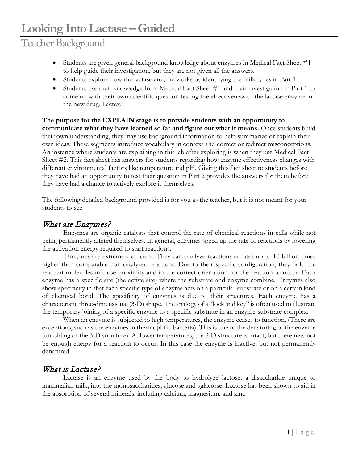### Teacher Background

- Students are given general background knowledge about enzymes in Medical Fact Sheet #1 to help guide their investigation, but they are not given all the answers.
- Students explore how the lactase enzyme works by identifying the milk types in Part 1.
- Students use their knowledge from Medical Fact Sheet #1 and their investigation in Part 1 to come up with their own scientific question testing the effectiveness of the lactase enzyme in the new drug, Lactex.

**The purpose for the EXPLAIN stage is to provide students with an opportunity to communicate what they have learned so far and figure out what it means.** Once students build their own understanding, they may use background information to help summarize or explain their own ideas. These segments introduce vocabulary in context and correct or redirect misconceptions. An instance where students are explaining in this lab after exploring is when they use Medical Fact Sheet #2. This fact sheet has answers for students regarding how enzyme effectiveness changes with different environmental factors like temperature and pH. Giving this fact sheet to students before they have had an opportunity to test their question in Part 2 provides the answers for them before they have had a chance to actively explore it themselves.

The following detailed background provided is for you as the teacher, but it is not meant for your students to see.

#### What are Enzymes?

Enzymes are organic catalysts that control the rate of chemical reactions in cells while not being permanently altered themselves. In general, enzymes speed up the rate of reactions by lowering the activation energy required to start reactions.

Enzymes are extremely efficient. They can catalyze reactions at rates up to 10 billion times higher than comparable non-catalyzed reactions. Due to their specific configuration, they hold the reactant molecules in close proximity and in the correct orientation for the reaction to occur. Each enzyme has a specific site (the active site) where the substrate and enzyme combine. Enzymes also show specificity in that each specific type of enzyme acts on a particular substrate or on a certain kind of chemical bond. The specificity of enzymes is due to their structures. Each enzyme has a characteristic three-dimensional (3-D) shape. The analogy of a "lock and key" is often used to illustrate the temporary joining of a specific enzyme to a specific substrate in an enzyme-substrate complex.

When an enzyme is subjected to high temperatures, the enzyme ceases to function. (There are exceptions, such as the enzymes in thermophilic bacteria). This is due to the denaturing of the enzyme (unfolding of the 3-D structure). At lower temperatures, the 3-D structure is intact, but there may not be enough energy for a reaction to occur. In this case the enzyme is inactive, but not permanently denatured.

#### What is Lactase?

Lactase is an enzyme used by the body to hydrolyze lactose, a disaccharide unique to mammalian milk, into the monosaccharides, glucose and galactose. Lactose has been shown to aid in the absorption of several minerals, including calcium, magnesium, and zinc.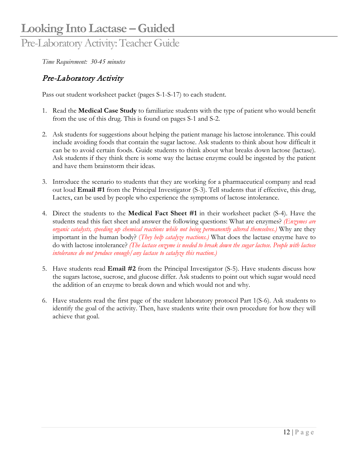### Pre-Laboratory Activity: Teacher Guide

*Time Requirement: 30-45 minutes*

#### Pre-Laboratory Activity

Pass out student worksheet packet (pages S-1-S-17) to each student.

- 1. Read the **Medical Case Study** to familiarize students with the type of patient who would benefit from the use of this drug. This is found on pages S-1 and S-2.
- 2. Ask students for suggestions about helping the patient manage his lactose intolerance. This could include avoiding foods that contain the sugar lactose. Ask students to think about how difficult it can be to avoid certain foods. Guide students to think about what breaks down lactose (lactase). Ask students if they think there is some way the lactase enzyme could be ingested by the patient and have them brainstorm their ideas.
- 3. Introduce the scenario to students that they are working for a pharmaceutical company and read out loud **Email #1** from the Principal Investigator (S-3). Tell students that if effective, this drug, Lactex, can be used by people who experience the symptoms of lactose intolerance.
- 4. Direct the students to the **Medical Fact Sheet #1** in their worksheet packet (S-4). Have the students read this fact sheet and answer the following questions: What are enzymes? *(Enzymes are organic catalysts, speeding up chemical reactions while not being permanently altered themselves.)* Why are they important in the human body? (*They help catalyze reactions.)* What does the lactase enzyme have to do with lactose intolerance? *(The lactase enzyme is needed to break down the sugar lactose. People with lactose intolerance do not produce enough/any lactase to catalyze this reaction.)*
- 5. Have students read **Email #2** from the Principal Investigator (S-5). Have students discuss how the sugars lactose, sucrose, and glucose differ. Ask students to point out which sugar would need the addition of an enzyme to break down and which would not and why.
- 6. Have students read the first page of the student laboratory protocol Part 1(S-6). Ask students to identify the goal of the activity. Then, have students write their own procedure for how they will achieve that goal.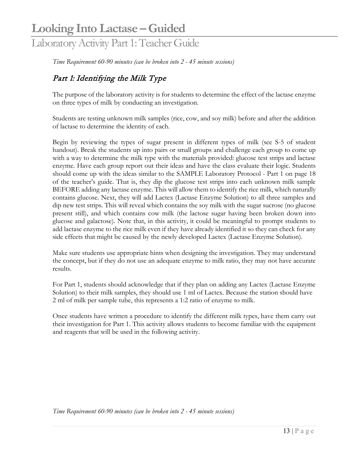### Laboratory Activity Part 1: Teacher Guide

*Time Requirement 60-90 minutes (can be broken into 2 - 45 minute sessions)*

#### Part 1: Identifying the Milk Type

The purpose of the laboratory activity is for students to determine the effect of the lactase enzyme on three types of milk by conducting an investigation.

Students are testing unknown milk samples (rice, cow, and soy milk) before and after the addition of lactase to determine the identity of each.

Begin by reviewing the types of sugar present in different types of milk (see S-5 of student handout). Break the students up into pairs or small groups and challenge each group to come up with a way to determine the milk type with the materials provided: glucose test strips and lactase enzyme. Have each group report out their ideas and have the class evaluate their logic. Students should come up with the ideas similar to the SAMPLE Laboratory Protocol - Part 1 on page 18 of the teacher's guide. That is, they dip the glucose test strips into each unknown milk sample BEFORE adding any lactase enzyme. This will allow them to identify the rice milk, which naturally contains glucose. Next, they will add Lactex (Lactase Enzyme Solution) to all three samples and dip new test strips. This will reveal which contains the soy milk with the sugar sucrose (no glucose present still), and which contains cow milk (the lactose sugar having been broken down into glucose and galactose). Note that, in this activity, it could be meaningful to prompt students to add lactase enzyme to the rice milk even if they have already identified it so they can check for any side effects that might be caused by the newly developed Lactex (Lactase Enzyme Solution).

Make sure students use appropriate hints when designing the investigation. They may understand the concept, but if they do not use an adequate enzyme to milk ratio, they may not have accurate results.

For Part 1, students should acknowledge that if they plan on adding any Lactex (Lactase Enzyme Solution) to their milk samples, they should use 1 ml of Lactex. Because the station should have 2 ml of milk per sample tube, this represents a 1:2 ratio of enzyme to milk.

Once students have written a procedure to identify the different milk types, have them carry out their investigation for Part 1. This activity allows students to become familiar with the equipment and reagents that will be used in the following activity.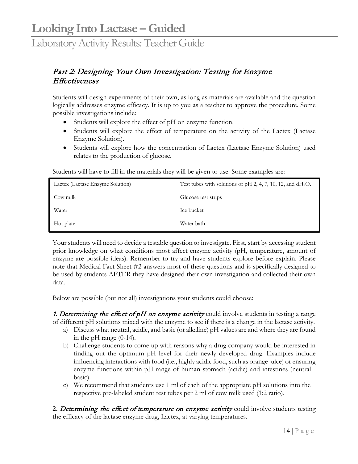#### Part 2: Designing Your Own Investigation: Testing for Enzyme **Effectiveness**

Students will design experiments of their own, as long as materials are available and the question logically addresses enzyme efficacy. It is up to you as a teacher to approve the procedure. Some possible investigations include:

- Students will explore the effect of pH on enzyme function.
- Students will explore the effect of temperature on the activity of the Lactex (Lactase Enzyme Solution).
- Students will explore how the concentration of Lactex (Lactase Enzyme Solution) used relates to the production of glucose.

Students will have to fill in the materials they will be given to use. Some examples are:

| Lactex (Lactase Enzyme Solution) | Test tubes with solutions of pH 2, 4, 7, 10, 12, and $dH_2O$ . |
|----------------------------------|----------------------------------------------------------------|
| Cow milk                         | Glucose test strips                                            |
| Water                            | Ice bucket                                                     |
| Hot plate                        | Water bath                                                     |

Your students will need to decide a testable question to investigate. First, start by accessing student prior knowledge on what conditions most affect enzyme activity (pH, temperature, amount of enzyme are possible ideas). Remember to try and have students explore before explain. Please note that Medical Fact Sheet #2 answers most of these questions and is specifically designed to be used by students AFTER they have designed their own investigation and collected their own data.

Below are possible (but not all) investigations your students could choose:

1. Determining the effect of  $pH$  on enzyme activity could involve students in testing a range of different pH solutions mixed with the enzyme to see if there is a change in the lactase activity.

- a) Discuss what neutral, acidic, and basic (or alkaline) pH values are and where they are found in the pH range (0-14).
- b) Challenge students to come up with reasons why a drug company would be interested in finding out the optimum pH level for their newly developed drug. Examples include influencing interactions with food (i.e., highly acidic food, such as orange juice) or ensuring enzyme functions within pH range of human stomach (acidic) and intestines (neutral basic).
- c) We recommend that students use 1 ml of each of the appropriate pH solutions into the respective pre-labeled student test tubes per 2 ml of cow milk used (1:2 ratio).

2. Determining the effect of temperature on enzyme activity could involve students testing the efficacy of the lactase enzyme drug, Lactex, at varying temperatures.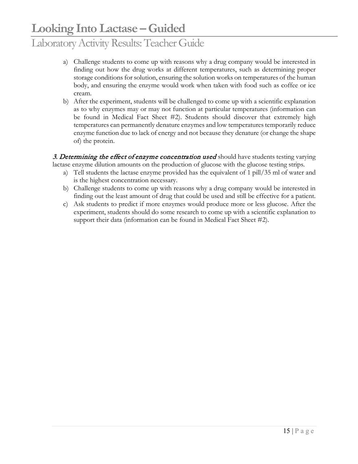- a) Challenge students to come up with reasons why a drug company would be interested in finding out how the drug works at different temperatures, such as determining proper storage conditions for solution, ensuring the solution works on temperatures of the human body, and ensuring the enzyme would work when taken with food such as coffee or ice cream.
- b) After the experiment, students will be challenged to come up with a scientific explanation as to why enzymes may or may not function at particular temperatures (information can be found in Medical Fact Sheet #2). Students should discover that extremely high temperatures can permanently denature enzymes and low temperatures temporarily reduce enzyme function due to lack of energy and not because they denature (or change the shape of) the protein.

3. Determining the effect of enzyme concentration used should have students testing varying lactase enzyme dilution amounts on the production of glucose with the glucose testing strips.

- a) Tell students the lactase enzyme provided has the equivalent of 1 pill/35 ml of water and is the highest concentration necessary.
- b) Challenge students to come up with reasons why a drug company would be interested in finding out the least amount of drug that could be used and still be effective for a patient.
- c) Ask students to predict if more enzymes would produce more or less glucose. After the experiment, students should do some research to come up with a scientific explanation to support their data (information can be found in Medical Fact Sheet #2).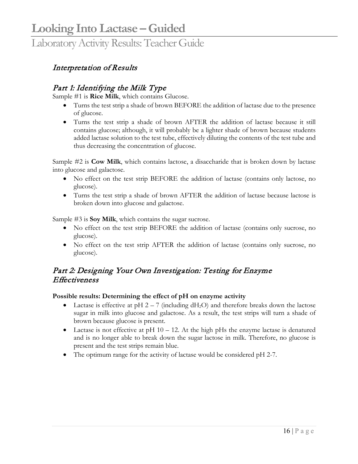#### Interpretation of Results

#### Part 1: Identifying the Milk Type

Sample #1 is **Rice Milk**, which contains Glucose.

- Turns the test strip a shade of brown BEFORE the addition of lactase due to the presence of glucose.
- Turns the test strip a shade of brown AFTER the addition of lactase because it still contains glucose; although, it will probably be a lighter shade of brown because students added lactase solution to the test tube, effectively diluting the contents of the test tube and thus decreasing the concentration of glucose.

Sample #2 is **Cow Milk**, which contains lactose, a disaccharide that is broken down by lactase into glucose and galactose.

- No effect on the test strip BEFORE the addition of lactase (contains only lactose, no glucose).
- Turns the test strip a shade of brown AFTER the addition of lactase because lactose is broken down into glucose and galactose.

Sample #3 is **Soy Milk**, which contains the sugar sucrose.

- No effect on the test strip BEFORE the addition of lactase (contains only sucrose, no glucose).
- No effect on the test strip AFTER the addition of lactase (contains only sucrose, no glucose).

#### Part 2: Designing Your Own Investigation: Testing for Enzyme Effectiveness

#### **Possible results: Determining the effect of pH on enzyme activity**

- Lactase is effective at  $pH$  2 7 (including dH<sub>2</sub>O) and therefore breaks down the lactose sugar in milk into glucose and galactose. As a result, the test strips will turn a shade of brown because glucose is present.
- Lactase is not effective at  $pH$  10 12. At the high  $pHs$  the enzyme lactase is denatured and is no longer able to break down the sugar lactose in milk. Therefore, no glucose is present and the test strips remain blue.
- The optimum range for the activity of lactase would be considered pH 2-7.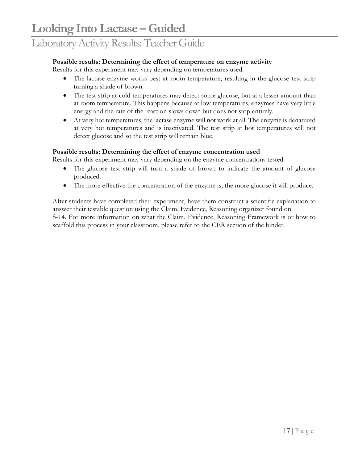#### **Possible results: Determining the effect of temperature on enzyme activity**

Results for this experiment may vary depending on temperatures used.

- The lactase enzyme works best at room temperature, resulting in the glucose test strip turning a shade of brown.
- The test strip at cold temperatures may detect some glucose, but at a lesser amount than at room temperature. This happens because at low temperatures, enzymes have very little energy and the rate of the reaction slows down but does not stop entirely.
- At very hot temperatures, the lactase enzyme will not work at all. The enzyme is denatured at very hot temperatures and is inactivated. The test strip at hot temperatures will not detect glucose and so the test strip will remain blue.

#### **Possible results: Determining the effect of enzyme concentration used**

Results for this experiment may vary depending on the enzyme concentrations tested.

- The glucose test strip will turn a shade of brown to indicate the amount of glucose produced.
- The more effective the concentration of the enzyme is, the more glucose it will produce.

After students have completed their experiment, have them construct a scientific explanation to answer their testable question using the Claim, Evidence, Reasoning organizer found on S-14. For more information on what the Claim, Evidence, Reasoning Framework is or how to scaffold this process in your classroom, please refer to the CER section of the binder.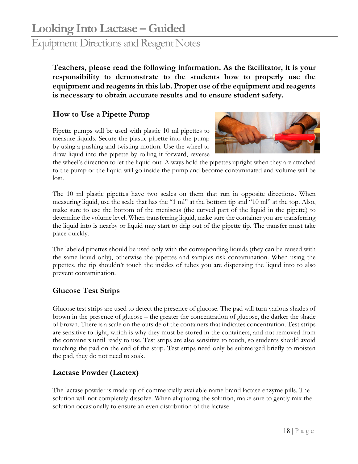### Equipment Directions and Reagent Notes

**Teachers, please read the following information. As the facilitator, it is your responsibility to demonstrate to the students how to properly use the equipment and reagents in this lab. Proper use of the equipment and reagents is necessary to obtain accurate results and to ensure student safety.** 

#### **How to Use a Pipette Pump**

Pipette pumps will be used with plastic 10 ml pipettes to measure liquids. Secure the plastic pipette into the pump by using a pushing and twisting motion. Use the wheel to draw liquid into the pipette by rolling it forward, reverse



the wheel's direction to let the liquid out. Always hold the pipettes upright when they are attached to the pump or the liquid will go inside the pump and become contaminated and volume will be lost.

The 10 ml plastic pipettes have two scales on them that run in opposite directions. When measuring liquid, use the scale that has the "1 ml" at the bottom tip and "10 ml" at the top. Also, make sure to use the bottom of the meniscus (the curved part of the liquid in the pipette) to determine the volume level. When transferring liquid, make sure the container you are transferring the liquid into is nearby or liquid may start to drip out of the pipette tip. The transfer must take place quickly.

The labeled pipettes should be used only with the corresponding liquids (they can be reused with the same liquid only), otherwise the pipettes and samples risk contamination. When using the pipettes, the tip shouldn't touch the insides of tubes you are dispensing the liquid into to also prevent contamination.

#### **Glucose Test Strips**

Glucose test strips are used to detect the presence of glucose. The pad will turn various shades of brown in the presence of glucose – the greater the concentration of glucose, the darker the shade of brown. There is a scale on the outside of the containers that indicates concentration. Test strips are sensitive to light, which is why they must be stored in the containers, and not removed from the containers until ready to use. Test strips are also sensitive to touch, so students should avoid touching the pad on the end of the strip. Test strips need only be submerged briefly to moisten the pad, they do not need to soak.

#### **Lactase Powder (Lactex)**

The lactase powder is made up of commercially available name brand lactase enzyme pills. The solution will not completely dissolve. When aliquoting the solution, make sure to gently mix the solution occasionally to ensure an even distribution of the lactase.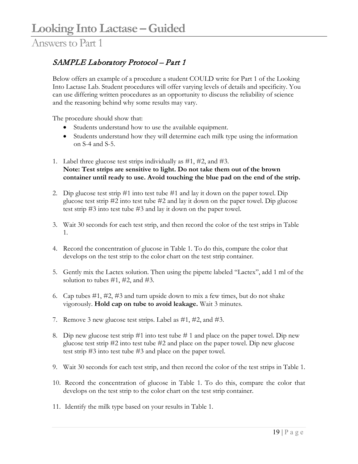#### SAMPLE Laboratory Protocol – Part 1

Below offers an example of a procedure a student COULD write for Part 1 of the Looking Into Lactase Lab. Student procedures will offer varying levels of details and specificity. You can use differing written procedures as an opportunity to discuss the reliability of science and the reasoning behind why some results may vary.

The procedure should show that:

- Students understand how to use the available equipment.
- Students understand how they will determine each milk type using the information on S-4 and S-5.
- 1. Label three glucose test strips individually as #1, #2, and #3. **Note: Test strips are sensitive to light. Do not take them out of the brown container until ready to use. Avoid touching the blue pad on the end of the strip.**
- 2. Dip glucose test strip #1 into test tube #1 and lay it down on the paper towel. Dip glucose test strip #2 into test tube #2 and lay it down on the paper towel. Dip glucose test strip #3 into test tube #3 and lay it down on the paper towel.
- 3. Wait 30 seconds for each test strip, and then record the color of the test strips in Table 1.
- 4. Record the concentration of glucose in Table 1. To do this, compare the color that develops on the test strip to the color chart on the test strip container.
- 5. Gently mix the Lactex solution. Then using the pipette labeled "Lactex", add 1 ml of the solution to tubes  $\#1$ ,  $\#2$ , and  $\#3$ .
- 6. Cap tubes #1, #2, #3 and turn upside down to mix a few times, but do not shake vigorously. **Hold cap on tube to avoid leakage.** Wait 3 minutes.
- 7. Remove 3 new glucose test strips. Label as #1, #2, and #3.
- 8. Dip new glucose test strip  $#1$  into test tube  $#1$  and place on the paper towel. Dip new glucose test strip #2 into test tube #2 and place on the paper towel. Dip new glucose test strip #3 into test tube #3 and place on the paper towel.
- 9. Wait 30 seconds for each test strip, and then record the color of the test strips in Table 1.
- 10. Record the concentration of glucose in Table 1. To do this, compare the color that develops on the test strip to the color chart on the test strip container.
- 11. Identify the milk type based on your results in Table 1.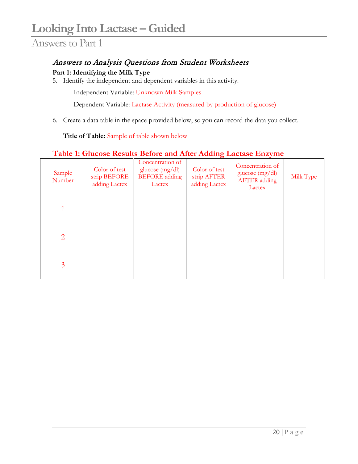#### Answers to Analysis Questions from Student Worksheets

#### **Part 1: Identifying the Milk Type**

5. Identify the independent and dependent variables in this activity.

Independent Variable: Unknown Milk Samples

Dependent Variable: Lactase Activity (measured by production of glucose)

6. Create a data table in the space provided below, so you can record the data you collect.

**Title of Table:** Sample of table shown below

#### **Table 1: Glucose Results Before and After Adding Lactase Enzyme**

| Sample<br>Number | Color of test<br>strip BEFORE<br>adding Lactex | Concentration of<br>glucose $(mg/dl)$<br><b>BEFORE</b> adding<br>Lactex | Color of test<br>strip AFTER<br>adding Lactex | Concentration of<br>glucose $(mg/dl)$<br><b>AFTER</b> adding<br>Lactex | Milk Type |
|------------------|------------------------------------------------|-------------------------------------------------------------------------|-----------------------------------------------|------------------------------------------------------------------------|-----------|
|                  |                                                |                                                                         |                                               |                                                                        |           |
| $\overline{2}$   |                                                |                                                                         |                                               |                                                                        |           |
| 3                |                                                |                                                                         |                                               |                                                                        |           |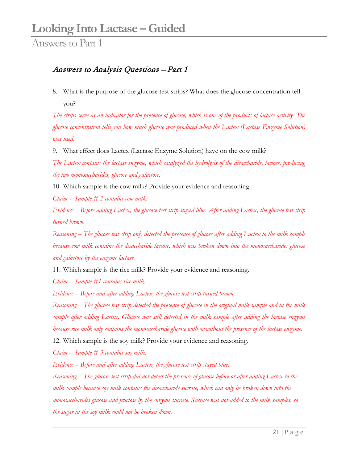#### Answers to Analysis Questions – Part 1

8. What is the purpose of the glucose test strips? What does the glucose concentration tell you?

*The strips serve as an indicator for the presence of glucose, which is one of the products of lactase activity. The glucose concentration tells you how much glucose was produced when the Lactex (Lactase Enzyme Solution) was used.* 

9. What effect does Lactex (Lactase Enzyme Solution) have on the cow milk?

*The Lactex contains the lactase enzyme, which catalyzed the hydrolysis of the disaccharide, lactose, producing the two monosaccharides, glucose and galactose.*

10. Which sample is the cow milk? Provide your evidence and reasoning.

*Claim – Sample # 2 contains cow milk.*

*Evidence – Before adding Lactex, the glucose test strip stayed blue. After adding Lactex, the glucose test strip turned brown.*

*Reasoning – The glucose test strip only detected the presence of glucose after adding Lactex to the milk sample because cow milk contains the disaccharide lactose, which was broken down into the monosaccharides glucose and galactose by the enzyme lactase.* 

11. Which sample is the rice milk? Provide your evidence and reasoning.

*Claim – Sample #1 contains rice milk.*

*Evidence – Before and after adding Lactex, the glucose test strip turned brown.*

*Reasoning – The glucose test strip detected the presence of glucose in the original milk sample and in the milk sample after adding Lactex. Glucose was still detected in the milk sample after adding the lactase enzyme because rice milk only contains the monosaccharide glucose with or without the presence of the lactase enzyme.* 

12. Which sample is the soy milk? Provide your evidence and reasoning.

*Claim – Sample # 3 contains soy milk.*

*Evidence – Before and after adding Lactex, the glucose test strip stayed blue.*

*Reasoning – The glucose test strip did not detect the presence of glucose before or after adding Lactex to the milk sample because soy milk contains the disaccharide sucrose, which can only be broken down into the monosaccharides glucose and fructose by the enzyme sucrase. Sucrase was not added to the milk samples, so the sugar in the soy milk could not be broken down.*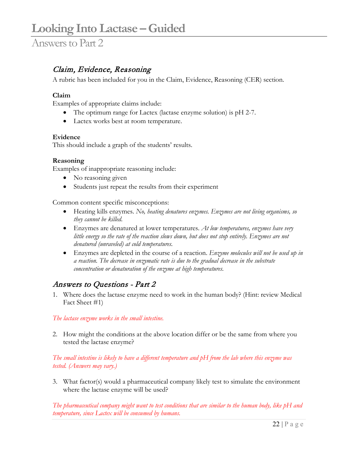#### Claim, Evidence, Reasoning

A rubric has been included for you in the Claim, Evidence, Reasoning (CER) section.

#### **Claim**

Examples of appropriate claims include:

- The optimum range for Lactex (lactase enzyme solution) is pH 2-7.
- Lactex works best at room temperature.

#### **Evidence**

This should include a graph of the students' results.

#### **Reasoning**

Examples of inappropriate reasoning include:

- No reasoning given
- Students just repeat the results from their experiment

Common content specific misconceptions:

- Heating kills enzymes. *No, heating denatures enzymes. Enzymes are not living organisms, so they cannot be killed.*
- Enzymes are denatured at lower temperatures. *At low temperatures, enzymes have very little energy so the rate of the reaction slows down, but does not stop entirely. Enzymes are not denatured (unraveled) at cold temperatures.*
- Enzymes are depleted in the course of a reaction. *Enzyme molecules will not be used up in a reaction. The decrease in enzymatic rate is due to the gradual decrease in the substrate concentration or denaturation of the enzyme at high temperatures.*

#### Answers to Questions - Part 2

1. Where does the lactase enzyme need to work in the human body? (Hint: review Medical Fact Sheet #1)

*The lactase enzyme works in the small intestine.*

2. How might the conditions at the above location differ or be the same from where you tested the lactase enzyme?

*The small intestine is likely to have a different temperature and pH from the lab where this enzyme was tested. (Answers may vary.)*

3. What factor(s) would a pharmaceutical company likely test to simulate the environment where the lactase enzyme will be used?

*The pharmaceutical company might want to test conditions that are similar to the human body, like pH and temperature, since Lactex will be consumed by humans.*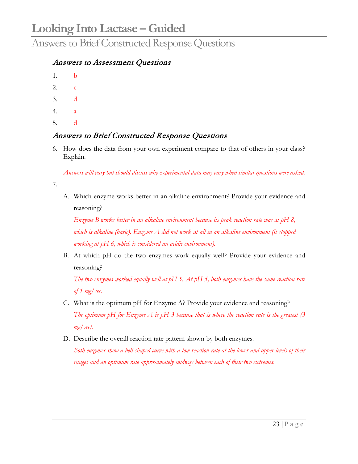Answers to Brief Constructed Response Questions

#### Answers to Assessment Questions

- 1. b
- 2. c
- 3. d
- 4. a
- 5. d

#### Answers to Brief Constructed Response Questions

6. How does the data from your own experiment compare to that of others in your class? Explain.

*Answers will vary but should discuss why experimental data may vary when similar questions were asked.* 

7.

A. Which enzyme works better in an alkaline environment? Provide your evidence and reasoning?

*Enzyme B works better in an alkaline environment because its peak reaction rate was at pH 8, which is alkaline (basic). Enzyme A did not work at all in an alkaline environment (it stopped working at pH 6, which is considered an acidic environment).* 

B. At which pH do the two enzymes work equally well? Provide your evidence and reasoning?

*The two enzymes worked equally well at pH 5. At pH 5, both enzymes have the same reaction rate of 1 mg/sec.*

- C. What is the optimum pH for Enzyme A? Provide your evidence and reasoning? *The optimum pH for Enzyme A is pH 3 because that is where the reaction rate is the greatest (3 mg/sec).*
- D. Describe the overall reaction rate pattern shown by both enzymes.

*Both enzymes show a bell-shaped curve with a low reaction rate at the lower and upper levels of their ranges and an optimum rate approximately midway between each of their two extremes.*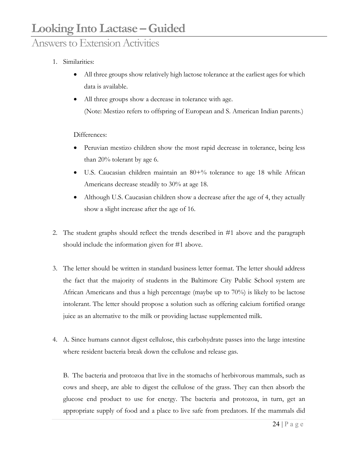### Answers to Extension Activities

#### 1. Similarities:

- All three groups show relatively high lactose tolerance at the earliest ages for which data is available.
- All three groups show a decrease in tolerance with age. (Note: Mestizo refers to offspring of European and S. American Indian parents.)

#### Differences:

- Peruvian mestizo children show the most rapid decrease in tolerance, being less than 20% tolerant by age 6.
- U.S. Caucasian children maintain an 80+% tolerance to age 18 while African Americans decrease steadily to 30% at age 18.
- Although U.S. Caucasian children show a decrease after the age of 4, they actually show a slight increase after the age of 16.
- 2. The student graphs should reflect the trends described in #1 above and the paragraph should include the information given for #1 above.
- 3. The letter should be written in standard business letter format. The letter should address the fact that the majority of students in the Baltimore City Public School system are African Americans and thus a high percentage (maybe up to 70%) is likely to be lactose intolerant. The letter should propose a solution such as offering calcium fortified orange juice as an alternative to the milk or providing lactase supplemented milk.
- 4. A. Since humans cannot digest cellulose, this carbohydrate passes into the large intestine where resident bacteria break down the cellulose and release gas.

B. The bacteria and protozoa that live in the stomachs of herbivorous mammals, such as cows and sheep, are able to digest the cellulose of the grass. They can then absorb the glucose end product to use for energy. The bacteria and protozoa, in turn, get an appropriate supply of food and a place to live safe from predators. If the mammals did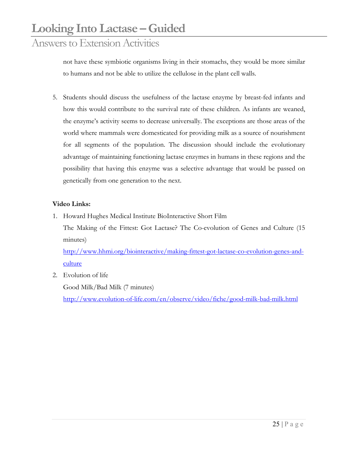### Answers to Extension Activities

not have these symbiotic organisms living in their stomachs, they would be more similar to humans and not be able to utilize the cellulose in the plant cell walls.

5. Students should discuss the usefulness of the lactase enzyme by breast-fed infants and how this would contribute to the survival rate of these children. As infants are weaned, the enzyme's activity seems to decrease universally. The exceptions are those areas of the world where mammals were domesticated for providing milk as a source of nourishment for all segments of the population. The discussion should include the evolutionary advantage of maintaining functioning lactase enzymes in humans in these regions and the possibility that having this enzyme was a selective advantage that would be passed on genetically from one generation to the next.

#### **Video Links:**

1. Howard Hughes Medical Institute BioInteractive Short Film The Making of the Fittest: Got Lactase? The Co-evolution of Genes and Culture (15 minutes)

[http://www.hhmi.org/biointeractive/making-fittest-got-lactase-co-evolution-genes-and](http://www.hhmi.org/biointeractive/making-fittest-got-lactase-co-evolution-genes-and-culture)[culture](http://www.hhmi.org/biointeractive/making-fittest-got-lactase-co-evolution-genes-and-culture)

2. Evolution of life

Good Milk/Bad Milk (7 minutes) <http://www.evolution-of-life.com/en/observe/video/fiche/good-milk-bad-milk.html>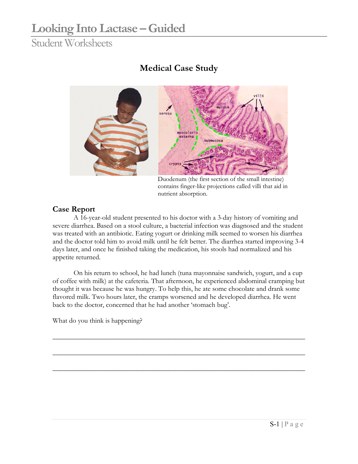### Student Worksheets

### **Medical Case Study**



Duodenum (the first section of the small intestine) contains finger-like projections called villi that aid in nutrient absorption.

#### **Case Report**

A 16-year-old student presented to his doctor with a 3-day history of vomiting and severe diarrhea. Based on a stool culture, a bacterial infection was diagnosed and the student was treated with an antibiotic. Eating yogurt or drinking milk seemed to worsen his diarrhea and the doctor told him to avoid milk until he felt better. The diarrhea started improving 3-4 days later, and once he finished taking the medication, his stools had normalized and his appetite returned.

On his return to school, he had lunch (tuna mayonnaise sandwich, yogurt, and a cup of coffee with milk) at the cafeteria. That afternoon, he experienced abdominal cramping but thought it was because he was hungry. To help this, he ate some chocolate and drank some flavored milk. Two hours later, the cramps worsened and he developed diarrhea. He went back to the doctor, concerned that he had another 'stomach bug'.

 $\_$  , and the set of the set of the set of the set of the set of the set of the set of the set of the set of the set of the set of the set of the set of the set of the set of the set of the set of the set of the set of th

 $\_$  , and the set of the set of the set of the set of the set of the set of the set of the set of the set of the set of the set of the set of the set of the set of the set of the set of the set of the set of the set of th

 $\_$  , and the set of the set of the set of the set of the set of the set of the set of the set of the set of the set of the set of the set of the set of the set of the set of the set of the set of the set of the set of th

What do you think is happening?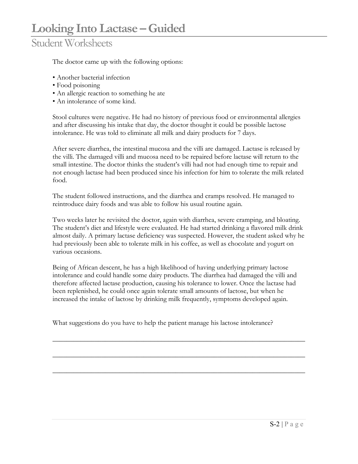The doctor came up with the following options:

- Another bacterial infection
- Food poisoning
- An allergic reaction to something he ate
- An intolerance of some kind.

Stool cultures were negative. He had no history of previous food or environmental allergies and after discussing his intake that day, the doctor thought it could be possible lactose intolerance. He was told to eliminate all milk and dairy products for 7 days.

After severe diarrhea, the intestinal mucosa and the villi are damaged. Lactase is released by the villi. The damaged villi and mucosa need to be repaired before lactase will return to the small intestine. The doctor thinks the student's villi had not had enough time to repair and not enough lactase had been produced since his infection for him to tolerate the milk related food.

The student followed instructions, and the diarrhea and cramps resolved. He managed to reintroduce dairy foods and was able to follow his usual routine again.

Two weeks later he revisited the doctor, again with diarrhea, severe cramping, and bloating. The student's diet and lifestyle were evaluated. He had started drinking a flavored milk drink almost daily. A primary lactase deficiency was suspected. However, the student asked why he had previously been able to tolerate milk in his coffee, as well as chocolate and yogurt on various occasions.

Being of African descent, he has a high likelihood of having underlying primary lactose intolerance and could handle some dairy products. The diarrhea had damaged the villi and therefore affected lactase production, causing his tolerance to lower. Once the lactase had been replenished, he could once again tolerate small amounts of lactose, but when he increased the intake of lactose by drinking milk frequently, symptoms developed again.

 $\_$  , and the set of the set of the set of the set of the set of the set of the set of the set of the set of the set of the set of the set of the set of the set of the set of the set of the set of the set of the set of th

 $\_$  , and the set of the set of the set of the set of the set of the set of the set of the set of the set of the set of the set of the set of the set of the set of the set of the set of the set of the set of the set of th

 $\_$  , and the set of the set of the set of the set of the set of the set of the set of the set of the set of the set of the set of the set of the set of the set of the set of the set of the set of the set of the set of th

What suggestions do you have to help the patient manage his lactose intolerance?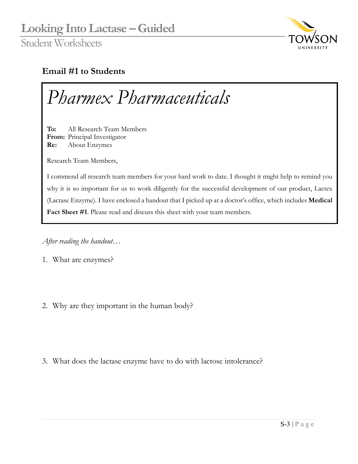

#### **Email #1 to Students**



*After reading the handout…*

1. What are enzymes?

2. Why are they important in the human body?

3. What does the lactase enzyme have to do with lactose intolerance?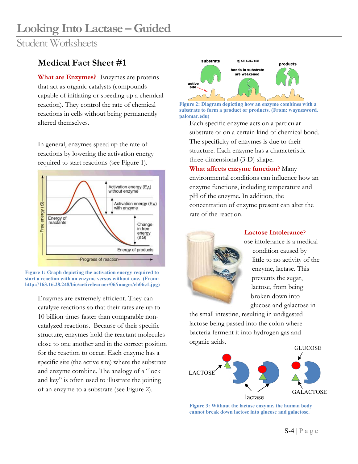Student Worksheets

#### **Medical Fact Sheet #1**

**What are Enzymes?** Enzymes are proteins that act as organic catalysts (compounds capable of initiating or speeding up a chemical reaction). They control the rate of chemical reactions in cells without being permanently altered themselves.

In general, enzymes speed up the rate of reactions by lowering the activation energy required to start reactions (see Figure 1).



**Figure 1: Graph depicting the activation energy required to start a reaction with an enzyme versus without one. (From: http://163.16.28.248/bio/activelearner/06/images/ch06c1.jpg)**

Enzymes are extremely efficient. They can catalyze reactions so that their rates are up to 10 billion times faster than comparable noncatalyzed reactions. Because of their specific structure, enzymes hold the reactant molecules close to one another and in the correct position for the reaction to occur. Each enzyme has a specific site (the active site) where the substrate and enzyme combine. The analogy of a "lock and key" is often used to illustrate the joining of an enzyme to a substrate (see Figure 2).



**Figure 2: Diagram depicting how an enzyme combines with a substrate to form a product or products. (From: waynesword. palomar.edu)**

Each specific enzyme acts on a particular substrate or on a certain kind of chemical bond. The specificity of enzymes is due to their structure. Each enzyme has a characteristic three-dimensional (3-D) shape.

**What affects enzyme function**? Many environmental conditions can influence how an enzyme functions, including temperature and pH of the enzyme. In addition, the concentration of enzyme present can alter the rate of the reaction.



#### **Lactose Intolerance**?

ose intolerance is a medical condition caused by little to no activity of the enzyme, lactase. This prevents the sugar, lactose, from being broken down into glucose and galactose in

the small intestine, resulting in undigested lactose being passed into the colon where bacteria ferment it into hydrogen gas and organic acids.



**Figure 3: Without the lactase enzyme, the human body cannot break down lactose into glucose and galactose.**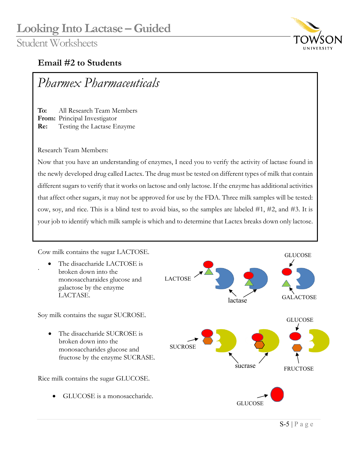

#### **Email #2 to Students**

Part 1: Identify the Cow Milk *Pharmex Pharmaceuticals*

**To:** All Research Team Members **From:** Principal Investigator **Re:** Testing the Lactase Enzyme

Research Team Members:

.

Now that you have an understanding of enzymes, I need you to verify the activity of lactase found in the newly developed drug called Lactex. The drug must be tested on different types of milk that contain different sugars to verify that it works on lactose and only lactose. If the enzyme has additional activities that affect other sugars, it may not be approved for use by the FDA. Three milk samples will be tested: cow, soy, and rice. This is a blind test to avoid bias, so the samples are labeled #1, #2, and #3. It is your job to identify which milk sample is which and to determine that Lactex breaks down only lactose.

Cow milk contains the sugar LACTOSE.

The disaccharide LACTOSE is broken down into the monosaccharaides glucose and galactose by the enzyme LACTASE.

Soy milk contains the sugar SUCROSE.

• The disaccharide SUCROSE is broken down into the monosaccharides glucose and fructose by the enzyme SUCRASE.

Rice milk contains the sugar GLUCOSE.

GLUCOSE is a monosaccharide.

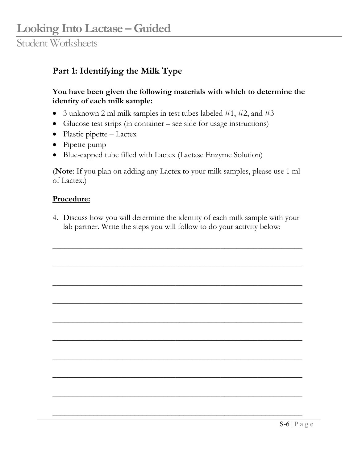### **Part 1: Identifying the Milk Type**

#### **You have been given the following materials with which to determine the identity of each milk sample:**

- 3 unknown 2 ml milk samples in test tubes labeled #1, #2, and #3
- Glucose test strips (in container see side for usage instructions)
- Plastic pipette Lactex
- Pipette pump
- Blue-capped tube filled with Lactex (Lactase Enzyme Solution)

(**Note**: If you plan on adding any Lactex to your milk samples, please use 1 ml of Lactex.)

#### **Procedure:**

4. Discuss how you will determine the identity of each milk sample with your lab partner. Write the steps you will follow to do your activity below:

\_\_\_\_\_\_\_\_\_\_\_\_\_\_\_\_\_\_\_\_\_\_\_\_\_\_\_\_\_\_\_\_\_\_\_\_\_\_\_\_\_\_\_\_\_\_\_\_\_\_\_\_\_\_\_\_\_\_\_\_\_

\_\_\_\_\_\_\_\_\_\_\_\_\_\_\_\_\_\_\_\_\_\_\_\_\_\_\_\_\_\_\_\_\_\_\_\_\_\_\_\_\_\_\_\_\_\_\_\_\_\_\_\_\_\_\_\_\_\_\_\_\_

\_\_\_\_\_\_\_\_\_\_\_\_\_\_\_\_\_\_\_\_\_\_\_\_\_\_\_\_\_\_\_\_\_\_\_\_\_\_\_\_\_\_\_\_\_\_\_\_\_\_\_\_\_\_\_\_\_\_\_\_\_

\_\_\_\_\_\_\_\_\_\_\_\_\_\_\_\_\_\_\_\_\_\_\_\_\_\_\_\_\_\_\_\_\_\_\_\_\_\_\_\_\_\_\_\_\_\_\_\_\_\_\_\_\_\_\_\_\_\_\_\_\_

\_\_\_\_\_\_\_\_\_\_\_\_\_\_\_\_\_\_\_\_\_\_\_\_\_\_\_\_\_\_\_\_\_\_\_\_\_\_\_\_\_\_\_\_\_\_\_\_\_\_\_\_\_\_\_\_\_\_\_\_\_

\_\_\_\_\_\_\_\_\_\_\_\_\_\_\_\_\_\_\_\_\_\_\_\_\_\_\_\_\_\_\_\_\_\_\_\_\_\_\_\_\_\_\_\_\_\_\_\_\_\_\_\_\_\_\_\_\_\_\_\_\_

\_\_\_\_\_\_\_\_\_\_\_\_\_\_\_\_\_\_\_\_\_\_\_\_\_\_\_\_\_\_\_\_\_\_\_\_\_\_\_\_\_\_\_\_\_\_\_\_\_\_\_\_\_\_\_\_\_\_\_\_\_

\_\_\_\_\_\_\_\_\_\_\_\_\_\_\_\_\_\_\_\_\_\_\_\_\_\_\_\_\_\_\_\_\_\_\_\_\_\_\_\_\_\_\_\_\_\_\_\_\_\_\_\_\_\_\_\_\_\_\_\_\_

\_\_\_\_\_\_\_\_\_\_\_\_\_\_\_\_\_\_\_\_\_\_\_\_\_\_\_\_\_\_\_\_\_\_\_\_\_\_\_\_\_\_\_\_\_\_\_\_\_\_\_\_\_\_\_\_\_\_\_\_\_

 $\mathcal{L}_\text{max}$  , and the contribution of the contribution of the contribution of the contribution of the contribution of the contribution of the contribution of the contribution of the contribution of the contribution of t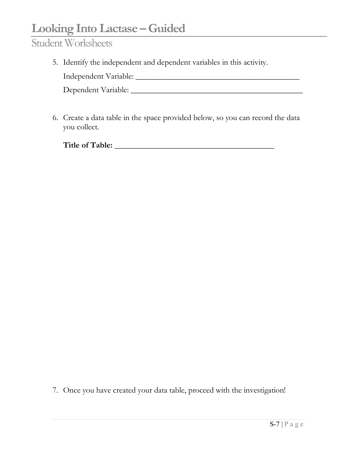### Student Worksheets

5. Identify the independent and dependent variables in this activity.

Independent Variable: \_\_\_\_\_\_\_\_\_\_\_\_\_\_\_\_\_\_\_\_\_\_\_\_\_\_\_\_\_\_\_\_\_\_\_\_\_\_\_\_

Dependent Variable: \_\_\_\_\_\_\_\_\_\_\_\_\_\_\_\_\_\_\_\_\_\_\_\_\_\_\_\_\_\_\_\_\_\_\_\_\_\_\_\_\_\_

6. Create a data table in the space provided below, so you can record the data you collect.

| Title of Table: |  |
|-----------------|--|
|                 |  |

7. Once you have created your data table, proceed with the investigation!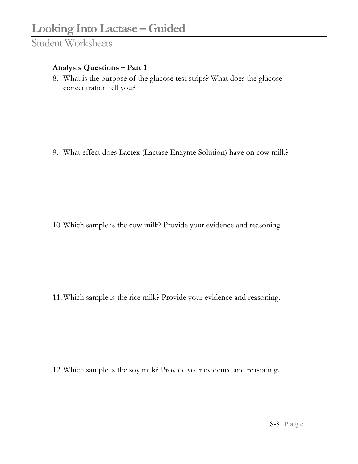#### **Analysis Questions – Part 1**

8. What is the purpose of the glucose test strips? What does the glucose concentration tell you?

9. What effect does Lactex (Lactase Enzyme Solution) have on cow milk?

10.Which sample is the cow milk? Provide your evidence and reasoning.

11.Which sample is the rice milk? Provide your evidence and reasoning.

12.Which sample is the soy milk? Provide your evidence and reasoning.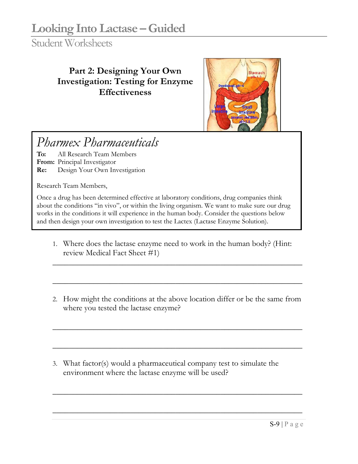Student Worksheets

### **Part 2: Designing Your Own Investigation: Testing for Enzyme Effectiveness**



# *Pharmex Pharmaceuticals*

**To:** All Research Team Members **From:** Principal Investigator **Re:** Design Your Own Investigation

Research Team Members,

Once a drug has been determined effective at laboratory conditions, drug companies think about the conditions "in vivo", or within the living organism. We want to make sure our drug works in the conditions it will experience in the human body. Consider the questions below and then design your own investigation to test the Lactex (Lactase Enzyme Solution).

1. Where does the lactase enzyme need to work in the human body? (Hint: review Medical Fact Sheet #1)

\_\_\_\_\_\_\_\_\_\_\_\_\_\_\_\_\_\_\_\_\_\_\_\_\_\_\_\_\_\_\_\_\_\_\_\_\_\_\_\_\_\_\_\_\_\_\_\_\_\_\_\_\_\_\_\_\_\_\_\_\_

\_\_\_\_\_\_\_\_\_\_\_\_\_\_\_\_\_\_\_\_\_\_\_\_\_\_\_\_\_\_\_\_\_\_\_\_\_\_\_\_\_\_\_\_\_\_\_\_\_\_\_\_\_\_\_\_\_\_\_\_\_

2. How might the conditions at the above location differ or be the same from where you tested the lactase enzyme?

\_\_\_\_\_\_\_\_\_\_\_\_\_\_\_\_\_\_\_\_\_\_\_\_\_\_\_\_\_\_\_\_\_\_\_\_\_\_\_\_\_\_\_\_\_\_\_\_\_\_\_\_\_\_\_\_\_\_\_\_\_

\_\_\_\_\_\_\_\_\_\_\_\_\_\_\_\_\_\_\_\_\_\_\_\_\_\_\_\_\_\_\_\_\_\_\_\_\_\_\_\_\_\_\_\_\_\_\_\_\_\_\_\_\_\_\_\_\_\_\_\_\_

\_\_\_\_\_\_\_\_\_\_\_\_\_\_\_\_\_\_\_\_\_\_\_\_\_\_\_\_\_\_\_\_\_\_\_\_\_\_\_\_\_\_\_\_\_\_\_\_\_\_\_\_\_\_\_\_\_\_\_\_\_

\_\_\_\_\_\_\_\_\_\_\_\_\_\_\_\_\_\_\_\_\_\_\_\_\_\_\_\_\_\_\_\_\_\_\_\_\_\_\_\_\_\_\_\_\_\_\_\_\_\_\_\_\_\_\_\_\_\_\_\_\_

3. What factor(s) would a pharmaceutical company test to simulate the environment where the lactase enzyme will be used?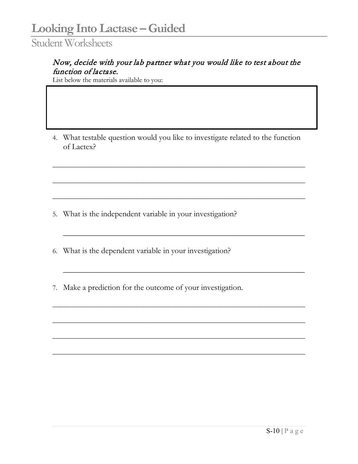#### Now, decide with your lab partner what you would like to test about the function of lactase.

List below the materials available to you:

4. What testable question would you like to investigate related to the function of Lactex?

 $\_$  , and the set of the set of the set of the set of the set of the set of the set of the set of the set of the set of the set of the set of the set of the set of the set of the set of the set of the set of the set of th

 $\_$  , and the set of the set of the set of the set of the set of the set of the set of the set of the set of the set of the set of the set of the set of the set of the set of the set of the set of the set of the set of th

 $\_$  , and the set of the set of the set of the set of the set of the set of the set of the set of the set of the set of the set of the set of the set of the set of the set of the set of the set of the set of the set of th

\_\_\_\_\_\_\_\_\_\_\_\_\_\_\_\_\_\_\_\_\_\_\_\_\_\_\_\_\_\_\_\_\_\_\_\_\_\_\_\_\_\_\_\_\_\_\_\_\_\_\_\_\_\_\_\_\_\_\_

\_\_\_\_\_\_\_\_\_\_\_\_\_\_\_\_\_\_\_\_\_\_\_\_\_\_\_\_\_\_\_\_\_\_\_\_\_\_\_\_\_\_\_\_\_\_\_\_\_\_\_\_\_\_\_\_\_\_\_

 $\_$  , and the set of the set of the set of the set of the set of the set of the set of the set of the set of the set of the set of the set of the set of the set of the set of the set of the set of the set of the set of th

 $\_$  , and the set of the set of the set of the set of the set of the set of the set of the set of the set of the set of the set of the set of the set of the set of the set of the set of the set of the set of the set of th

 $\_$  , and the set of the set of the set of the set of the set of the set of the set of the set of the set of the set of the set of the set of the set of the set of the set of the set of the set of the set of the set of th

 $\_$  , and the set of the set of the set of the set of the set of the set of the set of the set of the set of the set of the set of the set of the set of the set of the set of the set of the set of the set of the set of th

5. What is the independent variable in your investigation?

6. What is the dependent variable in your investigation?

7. Make a prediction for the outcome of your investigation.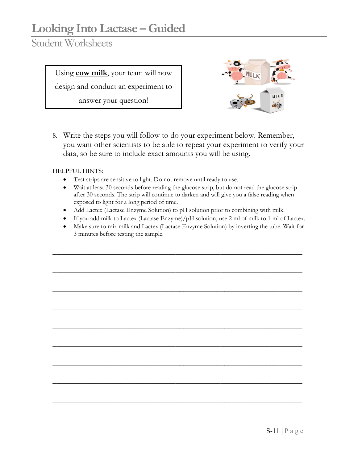Student Worksheets

Using **cow milk**, your team will now

design and conduct an experiment to

answer your question!



8. Write the steps you will follow to do your experiment below. Remember, you want other scientists to be able to repeat your experiment to verify your data, so be sure to include exact amounts you will be using.

HELPFUL HINTS:

- Test strips are sensitive to light. Do not remove until ready to use.
- Wait at least 30 seconds before reading the glucose strip, but do not read the glucose strip after 30 seconds. The strip will continue to darken and will give you a false reading when exposed to light for a long period of time.
- Add Lactex (Lactase Enzyme Solution) to pH solution prior to combining with milk.
- If you add milk to Lactex (Lactase Enzyme)/ $pH$  solution, use 2 ml of milk to 1 ml of Lactex.
- Make sure to mix milk and Lactex (Lactase Enzyme Solution) by inverting the tube. Wait for 3 minutes before testing the sample.

\_\_\_\_\_\_\_\_\_\_\_\_\_\_\_\_\_\_\_\_\_\_\_\_\_\_\_\_\_\_\_\_\_\_\_\_\_\_\_\_\_\_\_\_\_\_\_\_\_\_\_\_\_\_\_\_\_\_\_\_\_

\_\_\_\_\_\_\_\_\_\_\_\_\_\_\_\_\_\_\_\_\_\_\_\_\_\_\_\_\_\_\_\_\_\_\_\_\_\_\_\_\_\_\_\_\_\_\_\_\_\_\_\_\_\_\_\_\_\_\_\_\_

\_\_\_\_\_\_\_\_\_\_\_\_\_\_\_\_\_\_\_\_\_\_\_\_\_\_\_\_\_\_\_\_\_\_\_\_\_\_\_\_\_\_\_\_\_\_\_\_\_\_\_\_\_\_\_\_\_\_\_\_\_

\_\_\_\_\_\_\_\_\_\_\_\_\_\_\_\_\_\_\_\_\_\_\_\_\_\_\_\_\_\_\_\_\_\_\_\_\_\_\_\_\_\_\_\_\_\_\_\_\_\_\_\_\_\_\_\_\_\_\_\_\_

\_\_\_\_\_\_\_\_\_\_\_\_\_\_\_\_\_\_\_\_\_\_\_\_\_\_\_\_\_\_\_\_\_\_\_\_\_\_\_\_\_\_\_\_\_\_\_\_\_\_\_\_\_\_\_\_\_\_\_\_\_

\_\_\_\_\_\_\_\_\_\_\_\_\_\_\_\_\_\_\_\_\_\_\_\_\_\_\_\_\_\_\_\_\_\_\_\_\_\_\_\_\_\_\_\_\_\_\_\_\_\_\_\_\_\_\_\_\_\_\_\_\_

\_\_\_\_\_\_\_\_\_\_\_\_\_\_\_\_\_\_\_\_\_\_\_\_\_\_\_\_\_\_\_\_\_\_\_\_\_\_\_\_\_\_\_\_\_\_\_\_\_\_\_\_\_\_\_\_\_\_\_\_\_

\_\_\_\_\_\_\_\_\_\_\_\_\_\_\_\_\_\_\_\_\_\_\_\_\_\_\_\_\_\_\_\_\_\_\_\_\_\_\_\_\_\_\_\_\_\_\_\_\_\_\_\_\_\_\_\_\_\_\_\_\_

\_\_\_\_\_\_\_\_\_\_\_\_\_\_\_\_\_\_\_\_\_\_\_\_\_\_\_\_\_\_\_\_\_\_\_\_\_\_\_\_\_\_\_\_\_\_\_\_\_\_\_\_\_\_\_\_\_\_\_\_\_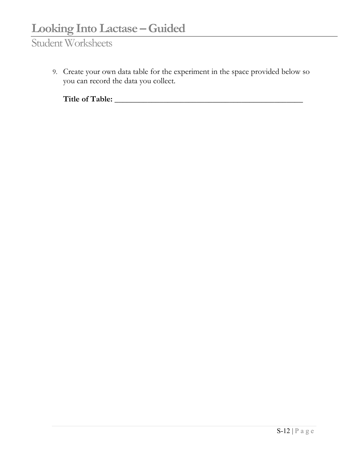9. Create your own data table for the experiment in the space provided below so you can record the data you collect.

**Title of Table: \_\_\_\_\_\_\_\_\_\_\_\_\_\_\_\_\_\_\_\_\_\_\_\_\_\_\_\_\_\_\_\_\_\_\_\_\_\_\_\_\_\_\_\_\_\_**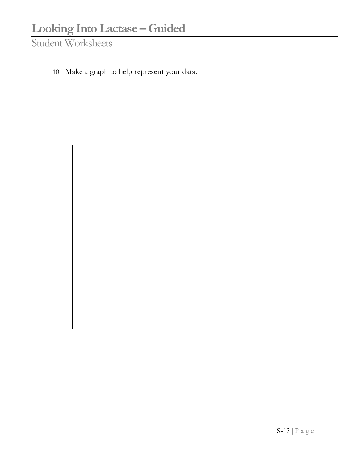10. Make a graph to help represent your data.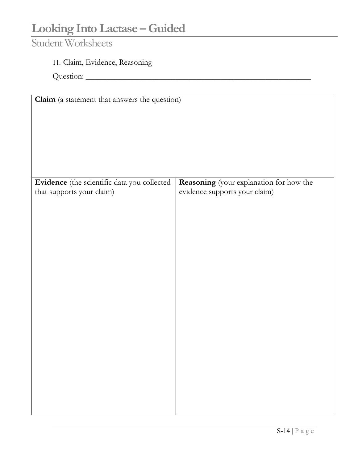### Student Worksheets

### 11. Claim, Evidence, Reasoning

Question: \_\_\_\_\_\_\_\_\_\_\_\_\_\_\_\_\_\_\_\_\_\_\_\_\_\_\_\_\_\_\_\_\_\_\_\_\_\_\_\_\_\_\_\_\_\_\_\_\_\_\_\_\_\_\_

| Claim (a statement that answers the question) |                                         |  |  |
|-----------------------------------------------|-----------------------------------------|--|--|
|                                               |                                         |  |  |
|                                               |                                         |  |  |
|                                               |                                         |  |  |
|                                               |                                         |  |  |
|                                               |                                         |  |  |
|                                               |                                         |  |  |
|                                               |                                         |  |  |
|                                               |                                         |  |  |
|                                               |                                         |  |  |
| Evidence (the scientific data you collected   | Reasoning (your explanation for how the |  |  |
| that supports your claim)                     | evidence supports your claim)           |  |  |
|                                               |                                         |  |  |
|                                               |                                         |  |  |
|                                               |                                         |  |  |
|                                               |                                         |  |  |
|                                               |                                         |  |  |
|                                               |                                         |  |  |
|                                               |                                         |  |  |
|                                               |                                         |  |  |
|                                               |                                         |  |  |
|                                               |                                         |  |  |
|                                               |                                         |  |  |
|                                               |                                         |  |  |
|                                               |                                         |  |  |
|                                               |                                         |  |  |
|                                               |                                         |  |  |
|                                               |                                         |  |  |
|                                               |                                         |  |  |
|                                               |                                         |  |  |
|                                               |                                         |  |  |
|                                               |                                         |  |  |
|                                               |                                         |  |  |
|                                               |                                         |  |  |
|                                               |                                         |  |  |
|                                               |                                         |  |  |
|                                               |                                         |  |  |
|                                               |                                         |  |  |
|                                               |                                         |  |  |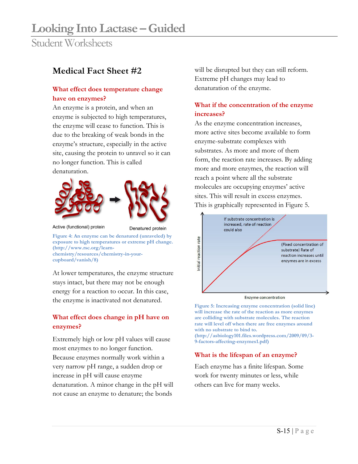#### **Medical Fact Sheet #2**

#### **What effect does temperature change have on enzymes?**

An enzyme is a protein, and when an enzyme is subjected to high temperatures, the enzyme will cease to function. This is due to the breaking of weak bonds in the enzyme's structure, especially in the active site, causing the protein to unravel so it can no longer function. This is called denaturation.





Active (functional) protein

Denatured protein

**Figure 4: An enzyme can be denatured (unraveled) by exposure to high temperatures or extreme pH change. (http://www.rsc.org/learnchemistry/resources/chemistry-in-yourcupboard/vanish/8)**

At lower temperatures, the enzyme structure stays intact, but there may not be enough energy for a reaction to occur. In this case, the enzyme is inactivated not denatured.

#### **What effect does change in pH have on enzymes?**

Extremely high or low pH values will cause most enzymes to no longer function. Because enzymes normally work within a very narrow pH range, a sudden drop or increase in pH will cause enzyme denaturation. A minor change in the pH will not cause an enzyme to denature; the bonds

will be disrupted but they can still reform. Extreme pH changes may lead to denaturation of the enzyme.

#### **What if the concentration of the enzyme increases?**

As the enzyme concentration increases, more active sites become available to form enzyme-substrate complexes with substrates. As more and more of them form, the reaction rate increases. By adding more and more enzymes, the reaction will reach a point where all the substrate molecules are occupying enzymes' active sites. This will result in excess enzymes. This is graphically represented in Figure 5.



Enzyme concentration

**Figure 5: Increasing enzyme concentration (solid line) will increase the rate of the reaction as more enzymes are colliding with substrate molecules. The reaction rate will level off when there are free enzymes around with no substrate to bind to.** 

**(http://asbiology101.files.wordpress.com/2009/09/3- 9-factors-affecting-enzymes1.pdf)** 

#### **What is the lifespan of an enzyme?**

Each enzyme has a finite lifespan. Some work for twenty minutes or less, while others can live for many weeks.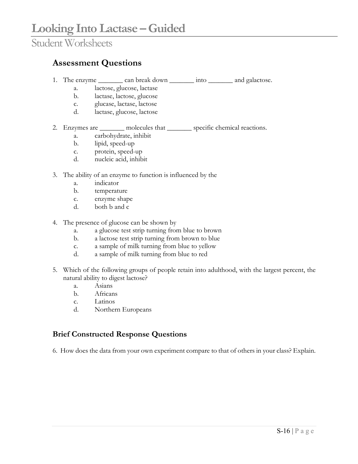#### **Assessment Questions**

- 1. The enzyme \_\_\_\_\_\_\_ can break down \_\_\_\_\_\_\_ into \_\_\_\_\_\_\_ and galactose.
	- a. lactose, glucose, lactase
	- b. lactase, lactose, glucose
	- c. glucase, lactase, lactose
	- d. lactase, glucose, lactose
- 2. Enzymes are molecules that specific chemical reactions.
	- a. carbohydrate, inhibit
	- b. lipid, speed-up
	- c. protein, speed-up
	- d. nucleic acid, inhibit
- 3. The ability of an enzyme to function is influenced by the
	- a. indicator
	- b. temperature
	- c. enzyme shape
	- d. both b and c
- 4. The presence of glucose can be shown by
	- a. a glucose test strip turning from blue to brown
	- b. a lactose test strip turning from brown to blue
	- c. a sample of milk turning from blue to yellow
	- d. a sample of milk turning from blue to red
- 5. Which of the following groups of people retain into adulthood, with the largest percent, the natural ability to digest lactose?
	- a. Asians
	- b. Africans
	- c. Latinos
	- d. Northern Europeans

#### **Brief Constructed Response Questions**

6. How does the data from your own experiment compare to that of others in your class? Explain.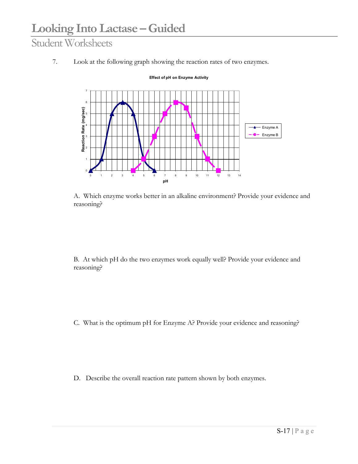7. Look at the following graph showing the reaction rates of two enzymes.



**Effect of pH on Enzyme Activity**

A. Which enzyme works better in an alkaline environment? Provide your evidence and reasoning?

B. At which pH do the two enzymes work equally well? Provide your evidence and reasoning?

C. What is the optimum pH for Enzyme A? Provide your evidence and reasoning?

D. Describe the overall reaction rate pattern shown by both enzymes.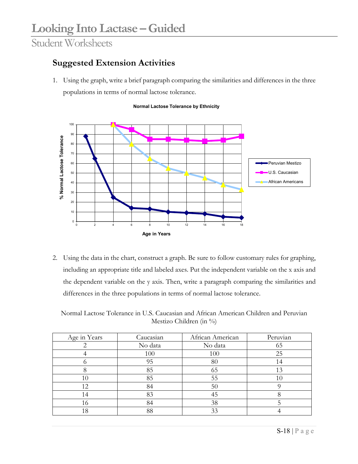### **Suggested Extension Activities**

1. Using the graph, write a brief paragraph comparing the similarities and differences in the three populations in terms of normal lactose tolerance.





2. Using the data in the chart, construct a graph. Be sure to follow customary rules for graphing, including an appropriate title and labeled axes. Put the independent variable on the x axis and the dependent variable on the y axis. Then, write a paragraph comparing the similarities and differences in the three populations in terms of normal lactose tolerance.

Normal Lactose Tolerance in U.S. Caucasian and African American Children and Peruvian Mestizo Children (in %)

| Age in Years | Caucasian | African American | Peruvian |
|--------------|-----------|------------------|----------|
|              | No data   | No data          | 65       |
|              | 100       | 100              | 25       |
|              | 95        | 80               |          |
|              | 85        | 65               | 13       |
| 10           | 85        | 55               |          |
| 12           | 84        | 50               |          |
| 14           | 83        | 45               |          |
| 16           | 84        | 38               |          |
|              | 88        | 33               |          |